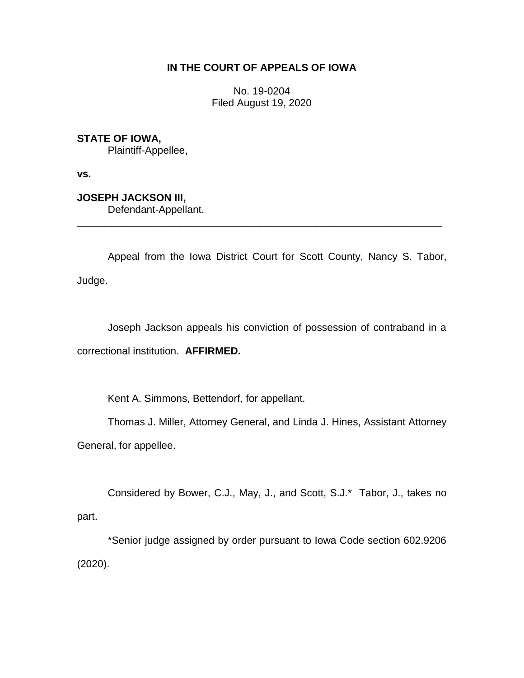## **IN THE COURT OF APPEALS OF IOWA**

No. 19-0204 Filed August 19, 2020

**STATE OF IOWA,**

Plaintiff-Appellee,

**vs.**

**JOSEPH JACKSON III,**

Defendant-Appellant.

Appeal from the Iowa District Court for Scott County, Nancy S. Tabor, Judge.

\_\_\_\_\_\_\_\_\_\_\_\_\_\_\_\_\_\_\_\_\_\_\_\_\_\_\_\_\_\_\_\_\_\_\_\_\_\_\_\_\_\_\_\_\_\_\_\_\_\_\_\_\_\_\_\_\_\_\_\_\_\_\_\_

Joseph Jackson appeals his conviction of possession of contraband in a correctional institution. **AFFIRMED.**

Kent A. Simmons, Bettendorf, for appellant.

Thomas J. Miller, Attorney General, and Linda J. Hines, Assistant Attorney General, for appellee.

Considered by Bower, C.J., May, J., and Scott, S.J.\* Tabor, J., takes no part.

\*Senior judge assigned by order pursuant to Iowa Code section 602.9206 (2020).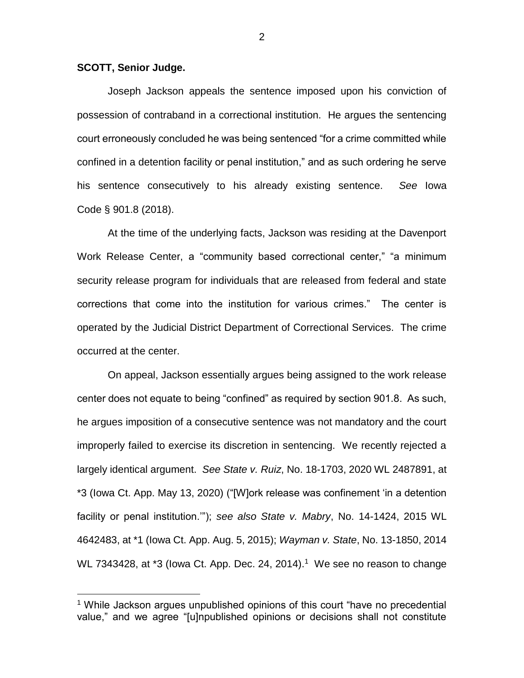## **SCOTT, Senior Judge.**

 $\overline{a}$ 

Joseph Jackson appeals the sentence imposed upon his conviction of possession of contraband in a correctional institution. He argues the sentencing court erroneously concluded he was being sentenced "for a crime committed while confined in a detention facility or penal institution," and as such ordering he serve his sentence consecutively to his already existing sentence. *See* Iowa Code § 901.8 (2018).

At the time of the underlying facts, Jackson was residing at the Davenport Work Release Center, a "community based correctional center," "a minimum security release program for individuals that are released from federal and state corrections that come into the institution for various crimes." The center is operated by the Judicial District Department of Correctional Services. The crime occurred at the center.

On appeal, Jackson essentially argues being assigned to the work release center does not equate to being "confined" as required by section 901.8. As such, he argues imposition of a consecutive sentence was not mandatory and the court improperly failed to exercise its discretion in sentencing. We recently rejected a largely identical argument. *See State v. Ruiz*, No. 18-1703, 2020 WL 2487891, at \*3 (Iowa Ct. App. May 13, 2020) ("[W]ork release was confinement 'in a detention facility or penal institution.'"); *see also State v. Mabry*, No. 14-1424, 2015 WL 4642483, at \*1 (Iowa Ct. App. Aug. 5, 2015); *Wayman v. State*, No. 13-1850, 2014 WL 7343428, at \*3 (lowa Ct. App. Dec. 24, 2014).<sup>1</sup> We see no reason to change

<sup>&</sup>lt;sup>1</sup> While Jackson argues unpublished opinions of this court "have no precedential value," and we agree "[u]npublished opinions or decisions shall not constitute